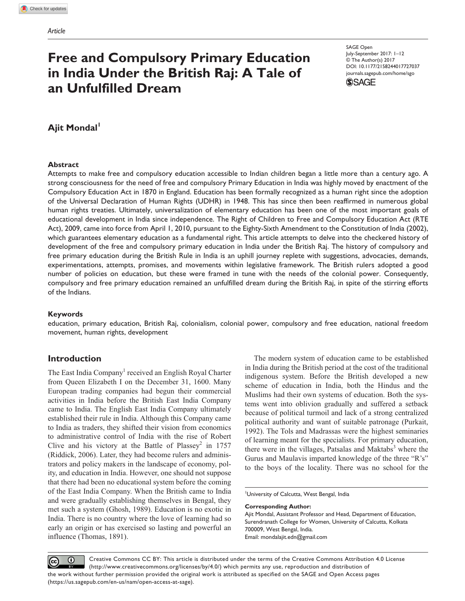# **Free and Compulsory Primary Education in India Under the British Raj: A Tale of an Unfulfilled Dream**

DOI: 10.1177/2158244017727037 SAGE Open July-September 2017: 1–12 © The Author(s) 2017 [journals.sagepub.com/home/sgo](https://journals.sagepub.com/home/sgo)



# **Ajit Mondal**

#### **Abstract**

Attempts to make free and compulsory education accessible to Indian children began a little more than a century ago. A strong consciousness for the need of free and compulsory Primary Education in India was highly moved by enactment of the Compulsory Education Act in 1870 in England. Education has been formally recognized as a human right since the adoption of the Universal Declaration of Human Rights (UDHR) in 1948. This has since then been reaffirmed in numerous global human rights treaties. Ultimately, universalization of elementary education has been one of the most important goals of educational development in India since independence. The Right of Children to Free and Compulsory Education Act (RTE Act), 2009, came into force from April 1, 2010, pursuant to the Eighty-Sixth Amendment to the Constitution of India (2002), which guarantees elementary education as a fundamental right. This article attempts to delve into the checkered history of development of the free and compulsory primary education in India under the British Raj. The history of compulsory and free primary education during the British Rule in India is an uphill journey replete with suggestions, advocacies, demands, experimentations, attempts, promises, and movements within legislative framework. The British rulers adopted a good number of policies on education, but these were framed in tune with the needs of the colonial power. Consequently, compulsory and free primary education remained an unfulfilled dream during the British Raj, in spite of the stirring efforts of the Indians.

#### **Keywords**

education, primary education, British Raj, colonialism, colonial power, compulsory and free education, national freedom movement, human rights, development

### **Introduction**

The East India Company<sup>1</sup> received an English Royal Charter from Queen Elizabeth I on the December 31, 1600. Many European trading companies had begun their commercial activities in India before the British East India Company came to India. The English East India Company ultimately established their rule in India. Although this Company came to India as traders, they shifted their vision from economics to administrative control of India with the rise of Robert Clive and his victory at the Battle of Plassey<sup>2</sup> in 1757 (Riddick, 2006). Later, they had become rulers and administrators and policy makers in the landscape of economy, polity, and education in India. However, one should not suppose that there had been no educational system before the coming of the East India Company. When the British came to India and were gradually establishing themselves in Bengal, they met such a system (Ghosh, 1989). Education is no exotic in India. There is no country where the love of learning had so early an origin or has exercised so lasting and powerful an influence (Thomas, 1891).

The modern system of education came to be established in India during the British period at the cost of the traditional indigenous system. Before the British developed a new scheme of education in India, both the Hindus and the Muslims had their own systems of education. Both the systems went into oblivion gradually and suffered a setback because of political turmoil and lack of a strong centralized political authority and want of suitable patronage (Purkait, 1992). The Tols and Madrassas were the highest seminaries of learning meant for the specialists. For primary education, there were in the villages, Patsalas and Maktabs<sup>3</sup> where the Gurus and Maulavis imparted knowledge of the three "R's" to the boys of the locality. There was no school for the

University of Calcutta, West Bengal, India

**Corresponding Author:**

Ajit Mondal, Assistant Professor and Head, Department of Education, Surendranath College for Women, University of Calcutta, Kolkata 700009, West Bengal, India. Email: [mondalajit.edn@gmail.com](mailto:mondalajit.edn@gmail.com)

 $\odot$ (cc)

Creative Commons CC BY: This article is distributed under the terms of the Creative Commons Attribution 4.0 License (http://www.creativecommons.org/licenses/by/4.0/) which permits any use, reproduction and distribution of the work without further permission provided the original work is attributed as specified on the SAGE and Open Access pages (https://us.sagepub.com/en-us/nam/open-access-at-sage).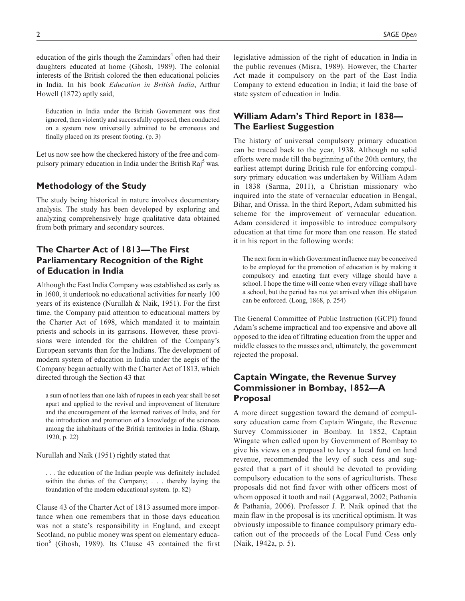education of the girls though the Zamindars<sup>4</sup> often had their daughters educated at home (Ghosh, 1989). The colonial interests of the British colored the then educational policies in India. In his book *Education in British India*, Arthur Howell (1872) aptly said,

Education in India under the British Government was first ignored, then violently and successfully opposed, then conducted on a system now universally admitted to be erroneous and finally placed on its present footing. (p. 3)

Let us now see how the checkered history of the free and compulsory primary education in India under the British Raj<sup>5</sup> was.

### **Methodology of the Study**

The study being historical in nature involves documentary analysis. The study has been developed by exploring and analyzing comprehensively huge qualitative data obtained from both primary and secondary sources.

# **The Charter Act of 1813—The First Parliamentary Recognition of the Right of Education in India**

Although the East India Company was established as early as in 1600, it undertook no educational activities for nearly 100 years of its existence (Nurullah & Naik, 1951). For the first time, the Company paid attention to educational matters by the Charter Act of 1698, which mandated it to maintain priests and schools in its garrisons. However, these provisions were intended for the children of the Company's European servants than for the Indians. The development of modern system of education in India under the aegis of the Company began actually with the Charter Act of 1813, which directed through the Section 43 that

a sum of not less than one lakh of rupees in each year shall be set apart and applied to the revival and improvement of literature and the encouragement of the learned natives of India, and for the introduction and promotion of a knowledge of the sciences among the inhabitants of the British territories in India. (Sharp, 1920, p. 22)

Nurullah and Naik (1951) rightly stated that

. . . the education of the Indian people was definitely included within the duties of the Company; . . . thereby laying the foundation of the modern educational system. (p. 82)

Clause 43 of the Charter Act of 1813 assumed more importance when one remembers that in those days education was not a state's responsibility in England, and except Scotland, no public money was spent on elementary educa- $\frac{1}{989}$ . Its Clause 43 contained the first legislative admission of the right of education in India in the public revenues (Misra, 1989). However, the Charter Act made it compulsory on the part of the East India Company to extend education in India; it laid the base of state system of education in India.

# **William Adam's Third Report in 1838— The Earliest Suggestion**

The history of universal compulsory primary education can be traced back to the year, 1938. Although no solid efforts were made till the beginning of the 20th century, the earliest attempt during British rule for enforcing compulsory primary education was undertaken by William Adam in 1838 (Sarma, 2011), a Christian missionary who inquired into the state of vernacular education in Bengal, Bihar, and Orissa. In the third Report, Adam submitted his scheme for the improvement of vernacular education. Adam considered it impossible to introduce compulsory education at that time for more than one reason. He stated it in his report in the following words:

The next form in which Government influence may be conceived to be employed for the promotion of education is by making it compulsory and enacting that every village should have a school. I hope the time will come when every village shall have a school, but the period has not yet arrived when this obligation can be enforced. (Long, 1868, p. 254)

The General Committee of Public Instruction (GCPI) found Adam's scheme impractical and too expensive and above all opposed to the idea of filtrating education from the upper and middle classes to the masses and, ultimately, the government rejected the proposal.

### **Captain Wingate, the Revenue Survey Commissioner in Bombay, 1852—A Proposal**

A more direct suggestion toward the demand of compulsory education came from Captain Wingate, the Revenue Survey Commissioner in Bombay. In 1852, Captain Wingate when called upon by Government of Bombay to give his views on a proposal to levy a local fund on land revenue, recommended the levy of such cess and suggested that a part of it should be devoted to providing compulsory education to the sons of agriculturists. These proposals did not find favor with other officers most of whom opposed it tooth and nail (Aggarwal, 2002; Pathania & Pathania, 2006). Professor J. P. Naik opined that the main flaw in the proposal is its uncritical optimism. It was obviously impossible to finance compulsory primary education out of the proceeds of the Local Fund Cess only (Naik, 1942a, p. 5).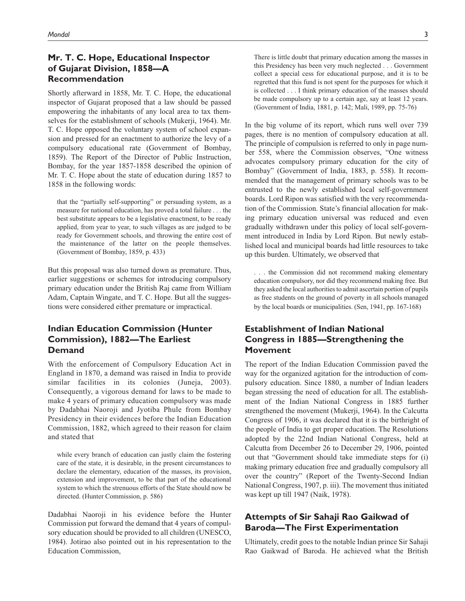### **Mr. T. C. Hope, Educational Inspector of Gujarat Division, 1858—A Recommendation**

Shortly afterward in 1858, Mr. T. C. Hope, the educational inspector of Gujarat proposed that a law should be passed empowering the inhabitants of any local area to tax themselves for the establishment of schools (Mukerji, 1964). Mr. T. C. Hope opposed the voluntary system of school expansion and pressed for an enactment to authorize the levy of a compulsory educational rate (Government of Bombay, 1859). The Report of the Director of Public Instruction, Bombay, for the year 1857-1858 described the opinion of Mr. T. C. Hope about the state of education during 1857 to 1858 in the following words:

that the "partially self-supporting" or persuading system, as a measure for national education, has proved a total failure . . . the best substitute appears to be a legislative enactment, to be ready applied, from year to year, to such villages as are judged to be ready for Government schools, and throwing the entire cost of the maintenance of the latter on the people themselves. (Government of Bombay, 1859, p. 433)

But this proposal was also turned down as premature. Thus, earlier suggestions or schemes for introducing compulsory primary education under the British Raj came from William Adam, Captain Wingate, and T. C. Hope. But all the suggestions were considered either premature or impractical.

### **Indian Education Commission (Hunter Commission), 1882—The Earliest Demand**

With the enforcement of Compulsory Education Act in England in 1870, a demand was raised in India to provide similar facilities in its colonies (Juneja, 2003). Consequently, a vigorous demand for laws to be made to make 4 years of primary education compulsory was made by Dadabhai Naoroji and Jyotiba Phule from Bombay Presidency in their evidences before the Indian Education Commission, 1882, which agreed to their reason for claim and stated that

while every branch of education can justly claim the fostering care of the state, it is desirable, in the present circumstances to declare the elementary, education of the masses, its provision, extension and improvement, to be that part of the educational system to which the strenuous efforts of the State should now be directed. (Hunter Commission, p. 586)

Dadabhai Naoroji in his evidence before the Hunter Commission put forward the demand that 4 years of compulsory education should be provided to all children (UNESCO, 1984). Jotirao also pointed out in his representation to the Education Commission,

There is little doubt that primary education among the masses in this Presidency has been very much neglected . . . Government collect a special cess for educational purpose, and it is to be regretted that this fund is not spent for the purposes for which it is collected . . . I think primary education of the masses should be made compulsory up to a certain age, say at least 12 years. (Government of India, 1881, p. 142; Mali, 1989, pp. 75-76)

In the big volume of its report, which runs well over 739 pages, there is no mention of compulsory education at all. The principle of compulsion is referred to only in page number 558, where the Commission observes, "One witness advocates compulsory primary education for the city of Bombay" (Government of India, 1883, p. 558). It recommended that the management of primary schools was to be entrusted to the newly established local self-government boards. Lord Ripon was satisfied with the very recommendation of the Commission. State's financial allocation for making primary education universal was reduced and even gradually withdrawn under this policy of local self-government introduced in India by Lord Ripon. But newly established local and municipal boards had little resources to take up this burden. Ultimately, we observed that

. . . the Commission did not recommend making elementary education compulsory, nor did they recommend making free. But they asked the local authorities to admit ascertain portion of pupils as free students on the ground of poverty in all schools managed by the local boards or municipalities. (Sen, 1941, pp. 167-168)

# **Establishment of Indian National Congress in 1885—Strengthening the Movement**

The report of the Indian Education Commission paved the way for the organized agitation for the introduction of compulsory education. Since 1880, a number of Indian leaders began stressing the need of education for all. The establishment of the Indian National Congress in 1885 further strengthened the movement (Mukerji, 1964). In the Calcutta Congress of 1906, it was declared that it is the birthright of the people of India to get proper education. The Resolutions adopted by the 22nd Indian National Congress, held at Calcutta from December 26 to December 29, 1906, pointed out that "Government should take immediate steps for (i) making primary education free and gradually compulsory all over the country" (Report of the Twenty-Second Indian National Congress, 1907, p. iii). The movement thus initiated was kept up till 1947 (Naik, 1978).

### **Attempts of Sir Sahaji Rao Gaikwad of Baroda—The First Experimentation**

Ultimately, credit goes to the notable Indian prince Sir Sahaji Rao Gaikwad of Baroda. He achieved what the British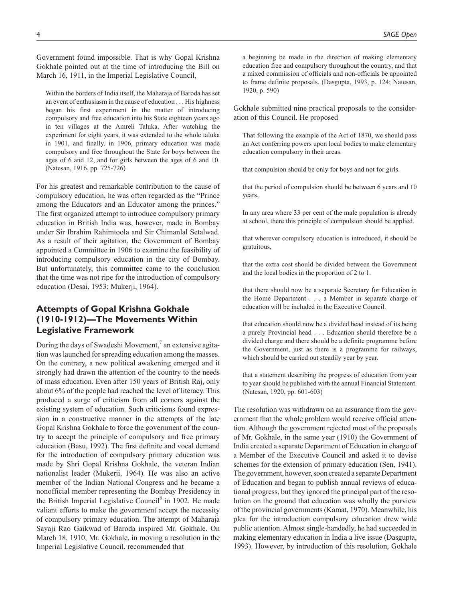Government found impossible. That is why Gopal Krishna Gokhale pointed out at the time of introducing the Bill on March 16, 1911, in the Imperial Legislative Council,

Within the borders of India itself, the Maharaja of Baroda has set an event of enthusiasm in the cause of education . . . His highness began his first experiment in the matter of introducing compulsory and free education into his State eighteen years ago in ten villages at the Amreli Taluka. After watching the experiment for eight years, it was extended to the whole taluka in 1901, and finally, in 1906, primary education was made compulsory and free throughout the State for boys between the ages of 6 and 12, and for girls between the ages of 6 and 10. (Natesan, 1916, pp. 725-726)

For his greatest and remarkable contribution to the cause of compulsory education, he was often regarded as the "Prince among the Educators and an Educator among the princes." The first organized attempt to introduce compulsory primary education in British India was, however, made in Bombay under Sir Ibrahim Rahimtoola and Sir Chimanlal Setalwad. As a result of their agitation, the Government of Bombay appointed a Committee in 1906 to examine the feasibility of introducing compulsory education in the city of Bombay. But unfortunately, this committee came to the conclusion that the time was not ripe for the introduction of compulsory education (Desai, 1953; Mukerji, 1964).

# **Attempts of Gopal Krishna Gokhale (1910-1912)—The Movements Within Legislative Framework**

During the days of Swadeshi Movement, $^7$  an extensive agitation was launched for spreading education among the masses. On the contrary, a new political awakening emerged and it strongly had drawn the attention of the country to the needs of mass education. Even after 150 years of British Raj, only about 6% of the people had reached the level of literacy. This produced a surge of criticism from all corners against the existing system of education. Such criticisms found expression in a constructive manner in the attempts of the late Gopal Krishna Gokhale to force the government of the country to accept the principle of compulsory and free primary education (Basu, 1992). The first definite and vocal demand for the introduction of compulsory primary education was made by Shri Gopal Krishna Gokhale, the veteran Indian nationalist leader (Mukerji, 1964). He was also an active member of the Indian National Congress and he became a nonofficial member representing the Bombay Presidency in the British Imperial Legislative Council<sup>8</sup> in 1902. He made valiant efforts to make the government accept the necessity of compulsory primary education. The attempt of Maharaja Sayaji Rao Gaikwad of Baroda inspired Mr. Gokhale. On March 18, 1910, Mr. Gokhale, in moving a resolution in the Imperial Legislative Council, recommended that

a beginning be made in the direction of making elementary education free and compulsory throughout the country, and that a mixed commission of officials and non-officials be appointed to frame definite proposals. (Dasgupta, 1993, p. 124; Natesan, 1920, p. 590)

Gokhale submitted nine practical proposals to the consideration of this Council. He proposed

That following the example of the Act of 1870, we should pass an Act conferring powers upon local bodies to make elementary education compulsory in their areas.

that compulsion should be only for boys and not for girls.

that the period of compulsion should be between 6 years and 10 years,

In any area where 33 per cent of the male population is already at school, there this principle of compulsion should be applied.

that wherever compulsory education is introduced, it should be gratuitous,

that the extra cost should be divided between the Government and the local bodies in the proportion of 2 to 1.

that there should now be a separate Secretary for Education in the Home Department . . . a Member in separate charge of education will be included in the Executive Council.

that education should now be a divided head instead of its being a purely Provincial head . . . Education should therefore be a divided charge and there should be a definite programme before the Government, just as there is a programme for railways, which should be carried out steadily year by year.

that a statement describing the progress of education from year to year should be published with the annual Financial Statement. (Natesan, 1920, pp. 601-603)

The resolution was withdrawn on an assurance from the government that the whole problem would receive official attention. Although the government rejected most of the proposals of Mr. Gokhale, in the same year (1910) the Government of India created a separate Department of Education in charge of a Member of the Executive Council and asked it to devise schemes for the extension of primary education (Sen, 1941). The government, however, soon created a separate Department of Education and began to publish annual reviews of educational progress, but they ignored the principal part of the resolution on the ground that education was wholly the purview of the provincial governments (Kamat, 1970). Meanwhile, his plea for the introduction compulsory education drew wide public attention. Almost single-handedly, he had succeeded in making elementary education in India a live issue (Dasgupta, 1993). However, by introduction of this resolution, Gokhale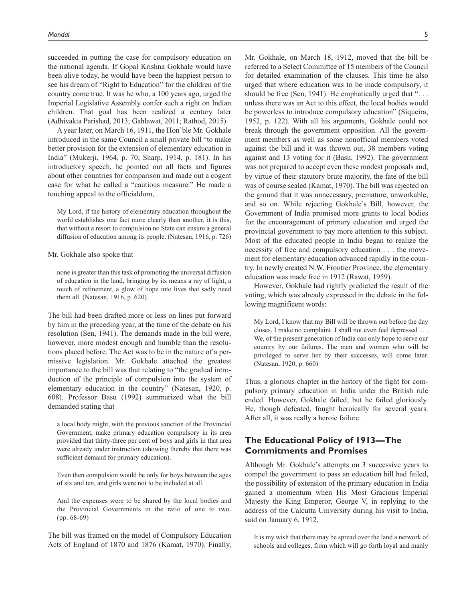succeeded in putting the case for compulsory education on the national agenda. If Gopal Krishna Gokhale would have been alive today, he would have been the happiest person to see his dream of "Right to Education" for the children of the country come true. It was he who, a 100 years ago, urged the Imperial Legislative Assembly confer such a right on Indian children. That goal has been realized a century later (Adhivakta Parishad, 2013; Gahlawat, 2011; Rathod, 2015).

A year later, on March 16, 1911, the Hon'ble Mr. Gokhale introduced in the same Council a small private bill "to make better provision for the extension of elementary education in India" (Mukerji, 1964, p. 70; Sharp, 1914, p. 181). In his introductory speech, he pointed out all facts and figures about other countries for comparison and made out a cogent case for what he called a "cautious measure." He made a touching appeal to the officialdom,

My Lord, if the history of elementary education throughout the world establishes one fact more clearly than another, it is this, that without a resort to compulsion no State can ensure a general diffusion of education among its people. (Natesan, 1916, p. 726)

#### Mr. Gokhale also spoke that

none is greater than this task of promoting the universal diffusion of education in the land, bringing by its means a ray of light, a touch of refinement, a glow of hope into lives that sadly need them all. (Natesan, 1916, p. 620).

The bill had been drafted more or less on lines put forward by him in the preceding year, at the time of the debate on his resolution (Sen, 1941). The demands made in the bill were, however, more modest enough and humble than the resolutions placed before. The Act was to be in the nature of a permissive legislation. Mr. Gokhale attached the greatest importance to the bill was that relating to "the gradual introduction of the principle of compulsion into the system of elementary education in the country" (Natesan, 1920, p. 608). Professor Basu (1992) summarized what the bill demanded stating that

a local body might, with the previous sanction of the Provincial Government, make primary education compulsory in its area provided that thirty-three per cent of boys and girls in that area were already under instruction (showing thereby that there was sufficient demand for primary education).

Even then compulsion would be only for boys between the ages of six and ten, and girls were not to be included at all.

And the expenses were to be shared by the local bodies and the Provincial Governments in the ratio of one to two. (pp. 68-69)

The bill was framed on the model of Compulsory Education Acts of England of 1870 and 1876 (Kamat, 1970). Finally, Mr. Gokhale, on March 18, 1912, moved that the bill be referred to a Select Committee of 15 members of the Council for detailed examination of the clauses. This time he also urged that where education was to be made compulsory, it should be free (Sen, 1941). He emphatically urged that "... unless there was an Act to this effect, the local bodies would be powerless to introduce compulsory education" (Siqueira, 1952, p. 122). With all his arguments, Gokhale could not break through the government opposition. All the government members as well as some nonofficial members voted against the bill and it was thrown out, 38 members voting against and 13 voting for it (Basu, 1992). The government was not prepared to accept even these modest proposals and, by virtue of their statutory brute majority, the fate of the bill was of course sealed (Kamat, 1970). The bill was rejected on the ground that it was unnecessary, premature, unworkable, and so on. While rejecting Gokhale's Bill, however, the Government of India promised more grants to local bodies for the encouragement of primary education and urged the provincial government to pay more attention to this subject. Most of the educated people in India began to realize the necessity of free and compulsory education . . . the movement for elementary education advanced rapidly in the country. In newly created N.W. Frontier Province, the elementary education was made free in 1912 (Rawat, 1959).

However, Gokhale had rightly predicted the result of the voting, which was already expressed in the debate in the following magnificent words:

My Lord, I know that my Bill will be thrown out before the day closes. I make no complaint. I shall not even feel depressed . . . We, of the present generation of India can only hope to serve our country by our failures. The men and women who will be privileged to serve her by their successes, will come later. (Natesan, 1920, p. 660)

Thus, a glorious chapter in the history of the fight for compulsory primary education in India under the British rule ended. However, Gokhale failed; but he failed gloriously. He, though defeated, fought heroically for several years. After all, it was really a heroic failure.

### **The Educational Policy of 1913—The Commitments and Promises**

Although Mr. Gokhale's attempts on 3 successive years to compel the government to pass an education bill had failed, the possibility of extension of the primary education in India gained a momentum when His Most Gracious Imperial Majesty the King Emperor, George V, in replying to the address of the Calcutta University during his visit to India, said on January 6, 1912,

It is my wish that there may be spread over the land a network of schools and colleges, from which will go forth loyal and manly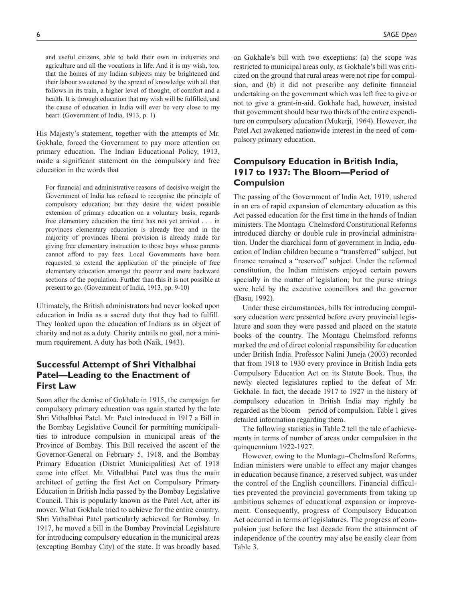and useful citizens, able to hold their own in industries and agriculture and all the vocations in life. And it is my wish, too, that the homes of my Indian subjects may be brightened and their labour sweetened by the spread of knowledge with all that follows in its train, a higher level of thought, of comfort and a health. It is through education that my wish will be fulfilled, and the cause of education in India will ever be very close to my heart. (Government of India, 1913, p. 1)

His Majesty's statement, together with the attempts of Mr. Gokhale, forced the Government to pay more attention on primary education. The Indian Educational Policy, 1913, made a significant statement on the compulsory and free education in the words that

For financial and administrative reasons of decisive weight the Government of India has refused to recognise the principle of compulsory education; but they desire the widest possible extension of primary education on a voluntary basis, regards free elementary education the time has not yet arrived . . . in provinces elementary education is already free and in the majority of provinces liberal provision is already made for giving free elementary instruction to those boys whose parents cannot afford to pay fees. Local Governments have been requested to extend the application of the principle of free elementary education amongst the poorer and more backward sections of the population. Further than this it is not possible at present to go. (Government of India, 1913, pp. 9-10)

Ultimately, the British administrators had never looked upon education in India as a sacred duty that they had to fulfill. They looked upon the education of Indians as an object of charity and not as a duty. Charity entails no goal, nor a minimum requirement. A duty has both (Naik, 1943).

### **Successful Attempt of Shri Vithalbhai Patel—Leading to the Enactment of First Law**

Soon after the demise of Gokhale in 1915, the campaign for compulsory primary education was again started by the late Shri Vithalbhai Patel. Mr. Patel introduced in 1917 a Bill in the Bombay Legislative Council for permitting municipalities to introduce compulsion in municipal areas of the Province of Bombay. This Bill received the ascent of the Governor-General on February 5, 1918, and the Bombay Primary Education (District Municipalities) Act of 1918 came into effect. Mr. Vithalbhai Patel was thus the main architect of getting the first Act on Compulsory Primary Education in British India passed by the Bombay Legislative Council. This is popularly known as the Patel Act, after its mover. What Gokhale tried to achieve for the entire country, Shri Vithalbhai Patel particularly achieved for Bombay. In 1917, he moved a bill in the Bombay Provincial Legislature for introducing compulsory education in the municipal areas (excepting Bombay City) of the state. It was broadly based

on Gokhale's bill with two exceptions: (a) the scope was restricted to municipal areas only, as Gokhale's bill was criticized on the ground that rural areas were not ripe for compulsion, and (b) it did not prescribe any definite financial undertaking on the government which was left free to give or not to give a grant-in-aid. Gokhale had, however, insisted that government should bear two thirds of the entire expenditure on compulsory education (Mukerji, 1964). However, the Patel Act awakened nationwide interest in the need of com-

# **Compulsory Education in British India, 1917 to 1937: The Bloom—Period of Compulsion**

pulsory primary education.

The passing of the Government of India Act, 1919, ushered in an era of rapid expansion of elementary education as this Act passed education for the first time in the hands of Indian ministers. The Montagu–Chelmsford Constitutional Reforms introduced diarchy or double rule in provincial administration. Under the diarchical form of government in India, education of Indian children became a "transferred" subject, but finance remained a "reserved" subject. Under the reformed constitution, the Indian ministers enjoyed certain powers specially in the matter of legislation; but the purse strings were held by the executive councillors and the governor (Basu, 1992).

Under these circumstances, bills for introducing compulsory education were presented before every provincial legislature and soon they were passed and placed on the statute books of the country. The Montagu–Chelmsford reforms marked the end of direct colonial responsibility for education under British India. Professor Nalini Juneja (2003) recorded that from 1918 to 1930 every province in British India gets Compulsory Education Act on its Statute Book. Thus, the newly elected legislatures replied to the defeat of Mr. Gokhale. In fact, the decade 1917 to 1927 in the history of compulsory education in British India may rightly be regarded as the bloom—period of compulsion. Table 1 gives detailed information regarding them.

The following statistics in Table 2 tell the tale of achievements in terms of number of areas under compulsion in the quinquennium 1922-1927.

However, owing to the Montagu–Chelmsford Reforms, Indian ministers were unable to effect any major changes in education because finance, a reserved subject, was under the control of the English councillors. Financial difficulties prevented the provincial governments from taking up ambitious schemes of educational expansion or improvement. Consequently, progress of Compulsory Education Act occurred in terms of legislatures. The progress of compulsion just before the last decade from the attainment of independence of the country may also be easily clear from Table 3.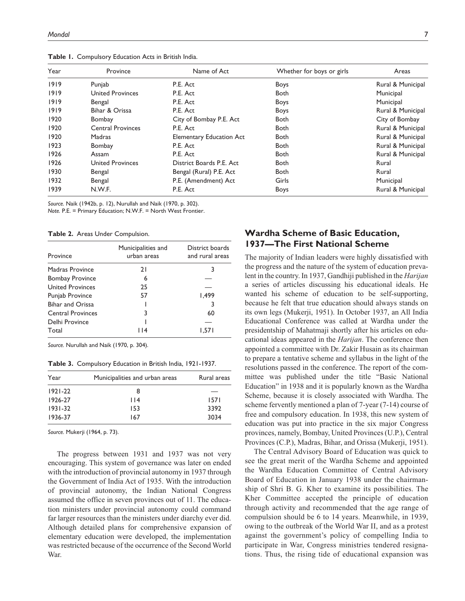| Year | Province                 | Name of Act                     | Whether for boys or girls | Areas             |
|------|--------------------------|---------------------------------|---------------------------|-------------------|
| 1919 | Punjab                   | P.E. Act                        | <b>Boys</b>               | Rural & Municipal |
| 1919 | <b>United Provinces</b>  | P.E. Act                        | <b>Both</b>               | Municipal         |
| 1919 | Bengal                   | P.E. Act                        | <b>Boys</b>               | Municipal         |
| 1919 | Bihar & Orissa           | P.E. Act                        | <b>Boys</b>               | Rural & Municipal |
| 1920 | Bombay                   | City of Bombay P.E. Act         | <b>Both</b>               | City of Bombay    |
| 1920 | <b>Central Provinces</b> | P.E. Act                        | <b>Both</b>               | Rural & Municipal |
| 1920 | Madras                   | <b>Elementary Education Act</b> | <b>Both</b>               | Rural & Municipal |
| 1923 | Bombay                   | P.E. Act                        | Both                      | Rural & Municipal |
| 1926 | Assam                    | P.E. Act                        | <b>Both</b>               | Rural & Municipal |
| 1926 | <b>United Provinces</b>  | District Boards P.E. Act        | Both                      | Rural             |
| 1930 | Bengal                   | Bengal (Rural) P.E. Act         | <b>Both</b>               | Rural             |
| 1932 | Bengal                   | P.E. (Amendment) Act            | Girls                     | Municipal         |
| 1939 | N.W.F.                   | P.E. Act                        | <b>Boys</b>               | Rural & Municipal |

**Table 1.** Compulsory Education Acts in British India.

*Source.* Naik (1942b, p. 12), Nurullah and Naik (1970, p. 302).

*Note.* P.E. = Primary Education; N.W.F. = North West Frontier.

| Province                 | Municipalities and<br>urban areas | District boards<br>and rural areas |
|--------------------------|-----------------------------------|------------------------------------|
| Madras Province          | 21                                | 3                                  |
| <b>Bombay Province</b>   | 6                                 |                                    |
| <b>United Provinces</b>  | 25                                |                                    |
| Punjab Province          | 57                                | 499. ا                             |
| <b>Bihar and Orissa</b>  |                                   |                                    |
| <b>Central Provinces</b> | 3                                 | 60                                 |
| Delhi Province           |                                   |                                    |
| Total                    | 114                               | 1.571                              |

*Source.* Nurullah and Naik (1970, p. 304).

**Table 3.** Compulsory Education in British India, 1921-1937.

| Year        | Municipalities and urban areas | Rural areas |
|-------------|--------------------------------|-------------|
| $1921 - 22$ | 8                              |             |
| 1926-27     | l 14                           | 1571        |
| $1931 - 32$ | 153                            | 3392        |
| 1936-37     | 167                            | 3034        |

*Source.* Mukerji (1964, p. 73).

The progress between 1931 and 1937 was not very encouraging. This system of governance was later on ended with the introduction of provincial autonomy in 1937 through the Government of India Act of 1935. With the introduction of provincial autonomy, the Indian National Congress assumed the office in seven provinces out of 11. The education ministers under provincial autonomy could command far larger resources than the ministers under diarchy ever did. Although detailed plans for comprehensive expansion of elementary education were developed, the implementation was restricted because of the occurrence of the Second World War.

### **Wardha Scheme of Basic Education, 1937—The First National Scheme**

The majority of Indian leaders were highly dissatisfied with the progress and the nature of the system of education prevalent in the country. In 1937, Gandhiji published in the *Harijan* a series of articles discussing his educational ideals. He wanted his scheme of education to be self-supporting, because he felt that true education should always stands on its own legs (Mukerji, 1951). In October 1937, an All India Educational Conference was called at Wardha under the presidentship of Mahatmaji shortly after his articles on educational ideas appeared in the *Harijan*. The conference then appointed a committee with Dr. Zakir Husain as its chairman to prepare a tentative scheme and syllabus in the light of the resolutions passed in the conference. The report of the committee was published under the title "Basic National Education" in 1938 and it is popularly known as the Wardha Scheme, because it is closely associated with Wardha. The scheme fervently mentioned a plan of 7-year (7-14) course of free and compulsory education. In 1938, this new system of education was put into practice in the six major Congress provinces, namely, Bombay, United Provinces (U.P.), Central Provinces (C.P.), Madras, Bihar, and Orissa (Mukerji, 1951).

The Central Advisory Board of Education was quick to see the great merit of the Wardha Scheme and appointed the Wardha Education Committee of Central Advisory Board of Education in January 1938 under the chairmanship of Shri B. G. Kher to examine its possibilities. The Kher Committee accepted the principle of education through activity and recommended that the age range of compulsion should be 6 to 14 years. Meanwhile, in 1939, owing to the outbreak of the World War II, and as a protest against the government's policy of compelling India to participate in War, Congress ministries tendered resignations. Thus, the rising tide of educational expansion was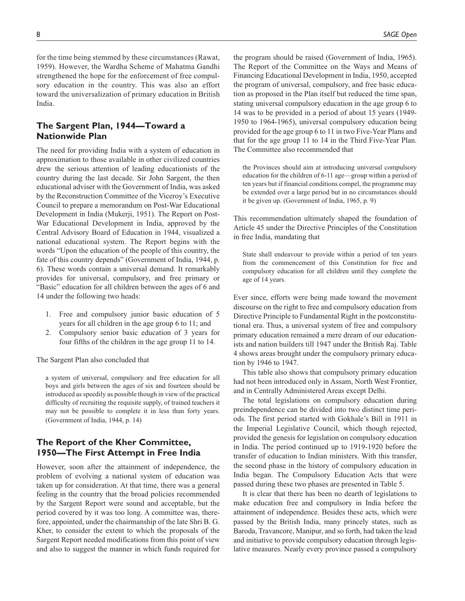for the time being stemmed by these circumstances (Rawat, 1959). However, the Wardha Scheme of Mahatma Gandhi strengthened the hope for the enforcement of free compulsory education in the country. This was also an effort toward the universalization of primary education in British India.

### **The Sargent Plan, 1944—Toward a Nationwide Plan**

The need for providing India with a system of education in approximation to those available in other civilized countries drew the serious attention of leading educationists of the country during the last decade. Sir John Sargent, the then educational adviser with the Government of India, was asked by the Reconstruction Committee of the Viceroy's Executive Council to prepare a memorandum on Post-War Educational Development in India (Mukerji, 1951). The Report on Post-War Educational Development in India, approved by the Central Advisory Board of Education in 1944, visualized a national educational system. The Report begins with the words "Upon the education of the people of this country, the fate of this country depends" (Government of India, 1944, p. 6). These words contain a universal demand. It remarkably provides for universal, compulsory, and free primary or "Basic" education for all children between the ages of 6 and 14 under the following two heads:

- 1. Free and compulsory junior basic education of 5 years for all children in the age group 6 to 11; and
- 2. Compulsory senior basic education of 3 years for four fifths of the children in the age group 11 to 14.

The Sargent Plan also concluded that

a system of universal, compulsory and free education for all boys and girls between the ages of six and fourteen should be introduced as speedily as possible though in view of the practical difficulty of recruiting the requisite supply, of trained teachers it may not be possible to complete it in less than forty years. (Government of India, 1944, p. 14)

### **The Report of the Kher Committee, 1950—The First Attempt in Free India**

However, soon after the attainment of independence, the problem of evolving a national system of education was taken up for consideration. At that time, there was a general feeling in the country that the broad policies recommended by the Sargent Report were sound and acceptable, but the period covered by it was too long. A committee was, therefore, appointed, under the chairmanship of the late Shri B. G. Kher, to consider the extent to which the proposals of the Sargent Report needed modifications from this point of view and also to suggest the manner in which funds required for

the program should be raised (Government of India, 1965). The Report of the Committee on the Ways and Means of Financing Educational Development in India, 1950, accepted the program of universal, compulsory, and free basic education as proposed in the Plan itself but reduced the time span, stating universal compulsory education in the age group 6 to 14 was to be provided in a period of about 15 years (1949- 1950 to 1964-1965), universal compulsory education being provided for the age group 6 to 11 in two Five-Year Plans and that for the age group 11 to 14 in the Third Five-Year Plan. The Committee also recommended that

the Provinces should aim at introducing universal compulsory education for the children of 6-11 age—group within a period of ten years but if financial conditions compel, the programme may be extended over a large period but in no circumstances should it be given up. (Government of India, 1965, p. 9)

This recommendation ultimately shaped the foundation of Article 45 under the Directive Principles of the Constitution in free India, mandating that

State shall endeavour to provide within a period of ten years from the commencement of this Constitution for free and compulsory education for all children until they complete the age of 14 years.

Ever since, efforts were being made toward the movement discourse on the right to free and compulsory education from Directive Principle to Fundamental Right in the postconstitutional era. Thus, a universal system of free and compulsory primary education remained a mere dream of our educationists and nation builders till 1947 under the British Raj. Table 4 shows areas brought under the compulsory primary education by 1946 to 1947.

This table also shows that compulsory primary education had not been introduced only in Assam, North West Frontier, and in Centrally Administered Areas except Delhi.

The total legislations on compulsory education during preindependence can be divided into two distinct time periods. The first period started with Gokhale's Bill in 1911 in the Imperial Legislative Council, which though rejected, provided the genesis for legislation on compulsory education in India. The period continued up to 1919-1920 before the transfer of education to Indian ministers. With this transfer, the second phase in the history of compulsory education in India began. The Compulsory Education Acts that were passed during these two phases are presented in Table 5.

It is clear that there has been no dearth of legislations to make education free and compulsory in India before the attainment of independence. Besides these acts, which were passed by the British India, many princely states, such as Baroda, Travancore, Manipur, and so forth, had taken the lead and initiative to provide compulsory education through legislative measures. Nearly every province passed a compulsory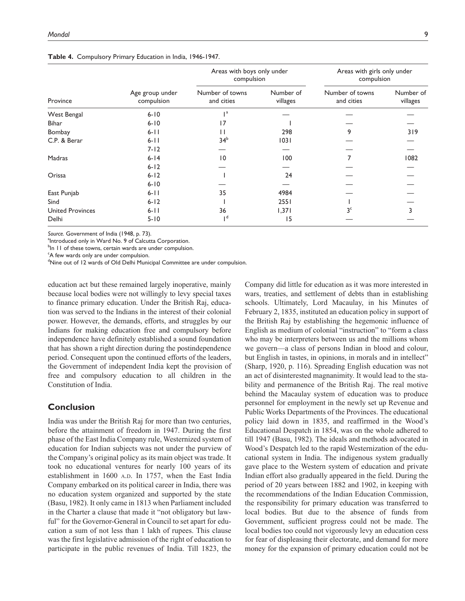|                         | Age group under<br>compulsion | Areas with boys only under<br>compulsion |                       | Areas with girls only under<br>compulsion |                       |
|-------------------------|-------------------------------|------------------------------------------|-----------------------|-------------------------------------------|-----------------------|
| Province                |                               | Number of towns<br>and cities            | Number of<br>villages | Number of towns<br>and cities             | Number of<br>villages |
| West Bengal             | $6 - 10$                      | $\mathsf{I}$ a                           |                       |                                           |                       |
| <b>Bihar</b>            | $6 - 10$                      | 17                                       |                       |                                           |                       |
| Bombay                  | $6 - 11$                      | $\mathsf{I}$                             | 298                   | 9                                         | 319                   |
| C.P. & Berar            | $6 - 11$                      | 34 <sup>b</sup>                          | 1031                  |                                           |                       |
|                         | $7 - 12$                      |                                          |                       |                                           |                       |
| Madras                  | $6 - 14$                      | 10                                       | 100                   |                                           | 1082                  |
|                         | $6 - 12$                      |                                          |                       |                                           |                       |
| Orissa                  | $6 - 12$                      |                                          | 24                    |                                           |                       |
|                         | $6 - 10$                      |                                          |                       |                                           |                       |
| East Punjab             | $6-11$                        | 35                                       | 4984                  |                                           |                       |
| Sind                    | $6 - 12$                      |                                          | 2551                  |                                           |                       |
| <b>United Provinces</b> | $6 - 11$                      | 36                                       | 1,371                 | 3 <sup>c</sup>                            |                       |
| Delhi                   | $5 - 10$                      | тq                                       | 15                    |                                           |                       |

**Table 4.** Compulsory Primary Education in India, 1946-1947.

*Source.* Government of India (1948, p. 73).

<sup>a</sup>Introduced only in Ward No. 9 of Calcutta Corporation.

<sup>b</sup>ln 11 of these towns, certain wards are under compulsion.

<sup>c</sup>A few wards only are under compulsion.

<sup>d</sup>Nine out of 12 wards of Old Delhi Municipal Committee are under compulsion.

education act but these remained largely inoperative, mainly because local bodies were not willingly to levy special taxes to finance primary education. Under the British Raj, education was served to the Indians in the interest of their colonial power. However, the demands, efforts, and struggles by our Indians for making education free and compulsory before independence have definitely established a sound foundation that has shown a right direction during the postindependence period. Consequent upon the continued efforts of the leaders, the Government of independent India kept the provision of free and compulsory education to all children in the Constitution of India.

### **Conclusion**

India was under the British Raj for more than two centuries, before the attainment of freedom in 1947. During the first phase of the East India Company rule, Westernized system of education for Indian subjects was not under the purview of the Company's original policy as its main object was trade. It took no educational ventures for nearly 100 years of its establishment in 1600 A.D. In 1757, when the East India Company embarked on its political career in India, there was no education system organized and supported by the state (Basu, 1982). It only came in 1813 when Parliament included in the Charter a clause that made it "not obligatory but lawful" for the Governor-General in Council to set apart for education a sum of not less than 1 lakh of rupees. This clause was the first legislative admission of the right of education to participate in the public revenues of India. Till 1823, the

Company did little for education as it was more interested in wars, treaties, and settlement of debts than in establishing schools. Ultimately, Lord Macaulay, in his Minutes of February 2, 1835, instituted an education policy in support of the British Raj by establishing the hegemonic influence of English as medium of colonial "instruction" to "form a class who may be interpreters between us and the millions whom we govern—a class of persons Indian in blood and colour, but English in tastes, in opinions, in morals and in intellect" (Sharp, 1920, p. 116). Spreading English education was not an act of disinterested magnanimity. It would lead to the stability and permanence of the British Raj. The real motive behind the Macaulay system of education was to produce personnel for employment in the newly set up Revenue and Public Works Departments of the Provinces. The educational policy laid down in 1835, and reaffirmed in the Wood's Educational Despatch in 1854, was on the whole adhered to till 1947 (Basu, 1982). The ideals and methods advocated in Wood's Despatch led to the rapid Westernization of the educational system in India. The indigenous system gradually gave place to the Western system of education and private Indian effort also gradually appeared in the field. During the period of 20 years between 1882 and 1902, in keeping with the recommendations of the Indian Education Commission, the responsibility for primary education was transferred to local bodies. But due to the absence of funds from Government, sufficient progress could not be made. The local bodies too could not vigorously levy an education cess for fear of displeasing their electorate, and demand for more money for the expansion of primary education could not be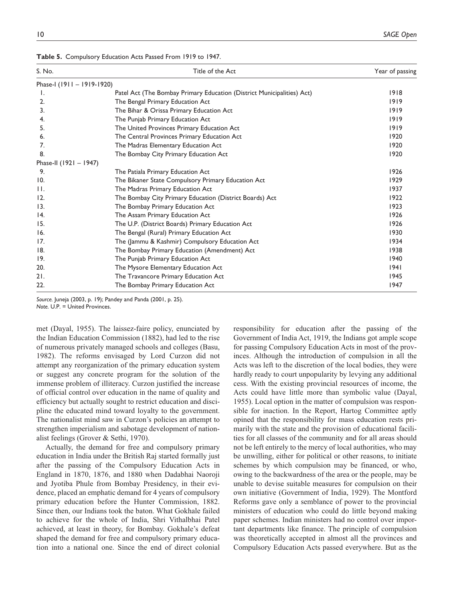| S. No.                     | Title of the Act                                                       | Year of passing |
|----------------------------|------------------------------------------------------------------------|-----------------|
| Phase-I (1911 - 1919-1920) |                                                                        |                 |
| Ι.                         | Patel Act (The Bombay Primary Education (District Municipalities) Act) | 1918            |
| 2.                         | The Bengal Primary Education Act                                       | 1919            |
| 3.                         | The Bihar & Orissa Primary Education Act                               | 1919            |
| 4.                         | The Punjab Primary Education Act                                       | 1919            |
| 5.                         | The United Provinces Primary Education Act                             | 1919            |
| 6.                         | The Central Provinces Primary Education Act                            | 1920            |
| 7.                         | The Madras Elementary Education Act                                    | 1920            |
| 8.                         | The Bombay City Primary Education Act                                  | 1920            |
| Phase-II (1921 - 1947)     |                                                                        |                 |
| 9.                         | The Patiala Primary Education Act                                      | 1926            |
| 10.                        | The Bikaner State Compulsory Primary Education Act                     | 1929            |
| $\mathbf{H}$ .             | The Madras Primary Education Act                                       | 1937            |
| 12.                        | The Bombay City Primary Education (District Boards) Act                | 1922            |
| 13.                        | The Bombay Primary Education Act                                       | 1923            |
| 4.                         | The Assam Primary Education Act                                        | 1926            |
| 15.                        | The U.P. (District Boards) Primary Education Act                       | 1926            |
| 16.                        | The Bengal (Rural) Primary Education Act                               | 1930            |
| 17.                        | The (Jammu & Kashmir) Compulsory Education Act                         | 1934            |
| 8.                         | The Bombay Primary Education (Amendment) Act                           | 1938            |
| 19.                        | The Punjab Primary Education Act                                       | 1940            |
| 20.                        | The Mysore Elementary Education Act                                    | 1941            |
| 21.                        | The Travancore Primary Education Act                                   | 1945            |
| 22.                        | The Bombay Primary Education Act                                       | 1947            |

**Table 5.** Compulsory Education Acts Passed From 1919 to 1947.

*Source.* Juneja (2003, p. 19); Pandey and Panda (2001, p. 25). *Note.* U.P. = United Provinces.

met (Dayal, 1955). The laissez-faire policy, enunciated by the Indian Education Commission (1882), had led to the rise of numerous privately managed schools and colleges (Basu, 1982). The reforms envisaged by Lord Curzon did not attempt any reorganization of the primary education system or suggest any concrete program for the solution of the immense problem of illiteracy. Curzon justified the increase of official control over education in the name of quality and efficiency but actually sought to restrict education and discipline the educated mind toward loyalty to the government. The nationalist mind saw in Curzon's policies an attempt to strengthen imperialism and sabotage development of nationalist feelings (Grover & Sethi, 1970).

Actually, the demand for free and compulsory primary education in India under the British Raj started formally just after the passing of the Compulsory Education Acts in England in 1870, 1876, and 1880 when Dadabhai Naoroji and Jyotiba Phule from Bombay Presidency, in their evidence, placed an emphatic demand for 4 years of compulsory primary education before the Hunter Commission, 1882. Since then, our Indians took the baton. What Gokhale failed to achieve for the whole of India, Shri Vithalbhai Patel achieved, at least in theory, for Bombay. Gokhale's defeat shaped the demand for free and compulsory primary education into a national one. Since the end of direct colonial responsibility for education after the passing of the Government of India Act, 1919, the Indians got ample scope for passing Compulsory Education Acts in most of the provinces. Although the introduction of compulsion in all the Acts was left to the discretion of the local bodies, they were hardly ready to court unpopularity by levying any additional cess. With the existing provincial resources of income, the Acts could have little more than symbolic value (Dayal, 1955). Local option in the matter of compulsion was responsible for inaction. In the Report, Hartog Committee aptly opined that the responsibility for mass education rests primarily with the state and the provision of educational facilities for all classes of the community and for all areas should not be left entirely to the mercy of local authorities, who may be unwilling, either for political or other reasons, to initiate schemes by which compulsion may be financed, or who, owing to the backwardness of the area or the people, may be unable to devise suitable measures for compulsion on their own initiative (Government of India, 1929). The Montford Reforms gave only a semblance of power to the provincial ministers of education who could do little beyond making paper schemes. Indian ministers had no control over important departments like finance. The principle of compulsion was theoretically accepted in almost all the provinces and Compulsory Education Acts passed everywhere. But as the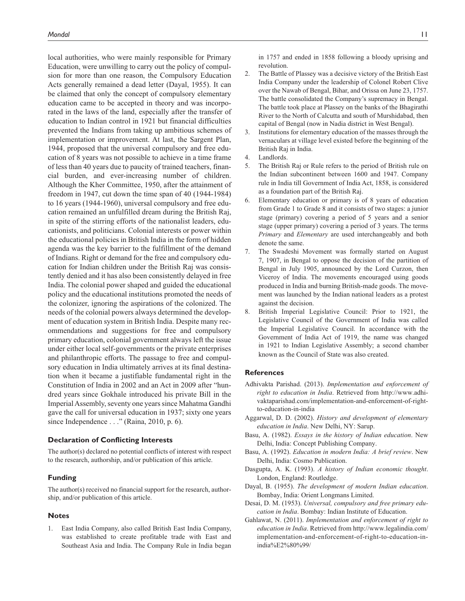local authorities, who were mainly responsible for Primary Education, were unwilling to carry out the policy of compulsion for more than one reason, the Compulsory Education Acts generally remained a dead letter (Dayal, 1955). It can be claimed that only the concept of compulsory elementary education came to be accepted in theory and was incorporated in the laws of the land, especially after the transfer of education to Indian control in 1921 but financial difficulties prevented the Indians from taking up ambitious schemes of implementation or improvement. At last, the Sargent Plan, 1944, proposed that the universal compulsory and free education of 8 years was not possible to achieve in a time frame of less than 40 years due to paucity of trained teachers, financial burden, and ever-increasing number of children. Although the Kher Committee, 1950, after the attainment of freedom in 1947, cut down the time span of 40 (1944-1984) to 16 years (1944-1960), universal compulsory and free education remained an unfulfilled dream during the British Raj, in spite of the stirring efforts of the nationalist leaders, educationists, and politicians. Colonial interests or power within the educational policies in British India in the form of hidden agenda was the key barrier to the fulfillment of the demand of Indians. Right or demand for the free and compulsory education for Indian children under the British Raj was consistently denied and it has also been consistently delayed in free India. The colonial power shaped and guided the educational policy and the educational institutions promoted the needs of the colonizer, ignoring the aspirations of the colonized. The needs of the colonial powers always determined the development of education system in British India. Despite many recommendations and suggestions for free and compulsory primary education, colonial government always left the issue under either local self-governments or the private enterprises and philanthropic efforts. The passage to free and compulsory education in India ultimately arrives at its final destination when it became a justifiable fundamental right in the Constitution of India in 2002 and an Act in 2009 after "hundred years since Gokhale introduced his private Bill in the Imperial Assembly, seventy one years since Mahatma Gandhi gave the call for universal education in 1937; sixty one years since Independence . . ." (Raina, 2010, p. 6).

#### **Declaration of Conflicting Interests**

The author(s) declared no potential conflicts of interest with respect to the research, authorship, and/or publication of this article.

#### **Funding**

The author(s) received no financial support for the research, authorship, and/or publication of this article.

#### **Notes**

1. East India Company, also called British East India Company, was established to create profitable trade with East and Southeast Asia and India. The Company Rule in India began

in 1757 and ended in 1858 following a bloody uprising and revolution.

- 2. The Battle of Plassey was a decisive victory of the British East India Company under the leadership of Colonel Robert Clive over the Nawab of Bengal, Bihar, and Orissa on June 23, 1757. The battle consolidated the Company's supremacy in Bengal. The battle took place at Plassey on the banks of the Bhagirathi River to the North of Calcutta and south of Murshidabad, then capital of Bengal (now in Nadia district in West Bengal).
- 3. Institutions for elementary education of the masses through the vernaculars at village level existed before the beginning of the British Raj in India.
- 4. Landlords.
- 5. The British Raj or Rule refers to the period of British rule on the Indian subcontinent between 1600 and 1947. Company rule in India till Government of India Act, 1858, is considered as a foundation part of the British Raj.
- 6. Elementary education or primary is of 8 years of education from Grade 1 to Grade 8 and it consists of two stages: a junior stage (primary) covering a period of 5 years and a senior stage (upper primary) covering a period of 3 years. The terms *Primary* and *Elementary* are used interchangeably and both denote the same.
- 7. The Swadeshi Movement was formally started on August 7, 1907, in Bengal to oppose the decision of the partition of Bengal in July 1905, announced by the Lord Curzon, then Viceroy of India. The movements encouraged using goods produced in India and burning British-made goods. The movement was launched by the Indian national leaders as a protest against the decision.
- 8. British Imperial Legislative Council: Prior to 1921, the Legislative Council of the Government of India was called the Imperial Legislative Council. In accordance with the Government of India Act of 1919, the name was changed in 1921 to Indian Legislative Assembly; a second chamber known as the Council of State was also created.

#### **References**

- Adhivakta Parishad. (2013). *Implementation and enforcement of right to education in India*. Retrieved from [http://www.adhi](http://www.adhivaktaparishad.com/implementation-and-enforcement-of-right-to-education-in-india)[vaktaparishad.com/implementation-and-enforcement-of-right](http://www.adhivaktaparishad.com/implementation-and-enforcement-of-right-to-education-in-india)[to-education-in-india](http://www.adhivaktaparishad.com/implementation-and-enforcement-of-right-to-education-in-india)
- Aggarwal, D. D. (2002). *History and development of elementary education in India*. New Delhi, NY: Sarup.
- Basu, A. (1982). *Essays in the history of Indian education*. New Delhi, India: Concept Publishing Company.
- Basu, A. (1992). *Education in modern India: A brief review*. New Delhi, India: Cosmo Publication.
- Dasgupta, A. K. (1993). *A history of Indian economic thought*. London, England: Routledge.
- Dayal, B. (1955). *The development of modern Indian education*. Bombay, India: Orient Longmans Limited.
- Desai, D. M. (1953). *Universal, compulsory and free primary education in India*. Bombay: Indian Institute of Education.
- Gahlawat, N. (2011). *Implementation and enforcement of right to education in India*. Retrieved from http://www.legalindia.com/ [implementation-and-enforcement-of-right-to-education-in](http://www.legalindia.com/implementation-and-enforcement-of-right-to-education-inindia%E2%80%99/)india%E2%80%99/